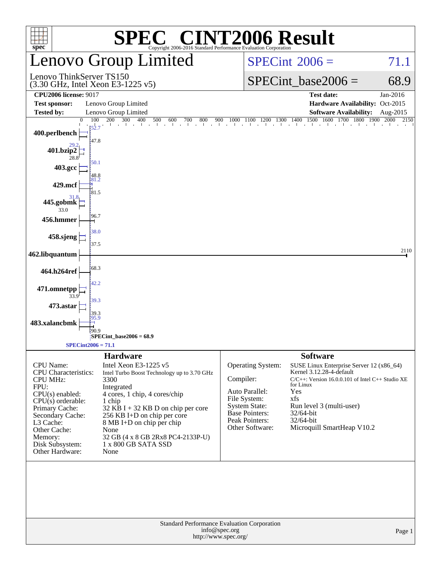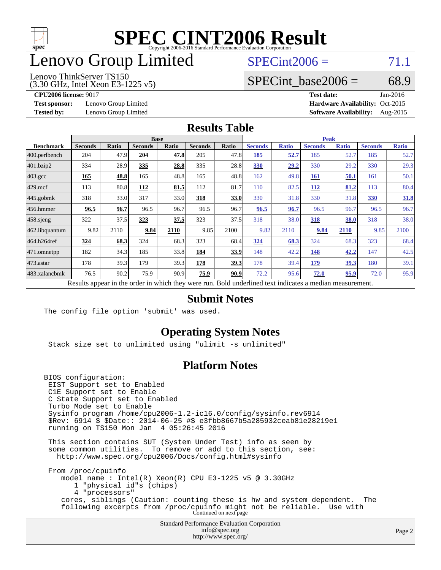

## enovo Group Limited

## $SPECint2006 = 71.1$  $SPECint2006 = 71.1$

(3.30 GHz, Intel Xeon E3-1225 v5) Lenovo ThinkServer TS150

SPECint base2006 =  $68.9$ 

**[Test sponsor:](http://www.spec.org/auto/cpu2006/Docs/result-fields.html#Testsponsor)** Lenovo Group Limited **[Hardware Availability:](http://www.spec.org/auto/cpu2006/Docs/result-fields.html#HardwareAvailability)** Oct-2015

**[CPU2006 license:](http://www.spec.org/auto/cpu2006/Docs/result-fields.html#CPU2006license)** 9017 **[Test date:](http://www.spec.org/auto/cpu2006/Docs/result-fields.html#Testdate)** Jan-2016 **[Tested by:](http://www.spec.org/auto/cpu2006/Docs/result-fields.html#Testedby)** Lenovo Group Limited **[Software Availability:](http://www.spec.org/auto/cpu2006/Docs/result-fields.html#SoftwareAvailability)** Aug-2015

## **[Results Table](http://www.spec.org/auto/cpu2006/Docs/result-fields.html#ResultsTable)**

|                                                                                                          |                |              | <b>Base</b>    |       |                |       | <b>Peak</b>    |              |                |              |                |              |
|----------------------------------------------------------------------------------------------------------|----------------|--------------|----------------|-------|----------------|-------|----------------|--------------|----------------|--------------|----------------|--------------|
| <b>Benchmark</b>                                                                                         | <b>Seconds</b> | <b>Ratio</b> | <b>Seconds</b> | Ratio | <b>Seconds</b> | Ratio | <b>Seconds</b> | <b>Ratio</b> | <b>Seconds</b> | <b>Ratio</b> | <b>Seconds</b> | <b>Ratio</b> |
| 400.perlbench                                                                                            | 204            | 47.9         | 204            | 47.8  | 205            | 47.8  | 185            | 52.7         | 185            | 52.7         | 185            | 52.7         |
| 401.bzip2                                                                                                | 334            | 28.9         | 335            | 28.8  | 335            | 28.8  | <b>330</b>     | 29.2         | 330            | 29.2         | 330            | 29.3         |
| $403.\mathrm{gcc}$                                                                                       | 165            | 48.8         | 165            | 48.8  | 165            | 48.8  | 162            | 49.8         | <b>161</b>     | 50.1         | 161            | 50.1         |
| $429$ .mcf                                                                                               | 113            | 80.8         | 112            | 81.5  | 112            | 81.7  | 110            | 82.5         | <u>112</u>     | 81.2         | 113            | 80.4         |
| $445$ .gobmk                                                                                             | 318            | 33.0         | 317            | 33.0  | 318            | 33.0  | 330            | 31.8         | 330            | 31.8         | 330            | 31.8         |
| $456.$ hmmer                                                                                             | 96.5           | 96.7         | 96.5           | 96.7  | 96.5           | 96.7  | 96.5           | 96.7         | 96.5           | 96.7         | 96.5           | 96.7         |
| $458$ .sjeng                                                                                             | 322            | 37.5         | 323            | 37.5  | 323            | 37.5  | 318            | 38.0         | 318            | 38.0         | 318            | 38.0         |
| 462.libquantum                                                                                           | 9.82           | 2110         | 9.84           | 2110  | 9.85           | 2100  | 9.82           | 2110         | 9.84           | 2110         | 9.85           | 2100         |
| 464.h264ref                                                                                              | 324            | 68.3         | 324            | 68.3  | 323            | 68.4  | 324            | 68.3         | 324            | 68.3         | 323            | 68.4         |
| 471.omnetpp                                                                                              | 182            | 34.3         | 185            | 33.8  | 184            | 33.9  | 148            | 42.2         | 148            | 42.2         | 147            | 42.5         |
| $473$ . astar                                                                                            | 178            | 39.3         | 179            | 39.3  | 178            | 39.3  | 178            | 39.4         | 179            | 39.3         | 180            | 39.1         |
| 483.xalancbmk                                                                                            | 76.5           | 90.2         | 75.9           | 90.9  | 75.9           | 90.9  | 72.2           | 95.6         | 72.0           | 95.9         | 72.0           | 95.9         |
| Results appear in the order in which they were run. Bold underlined text indicates a median measurement. |                |              |                |       |                |       |                |              |                |              |                |              |

## **[Submit Notes](http://www.spec.org/auto/cpu2006/Docs/result-fields.html#SubmitNotes)**

The config file option 'submit' was used.

## **[Operating System Notes](http://www.spec.org/auto/cpu2006/Docs/result-fields.html#OperatingSystemNotes)**

Stack size set to unlimited using "ulimit -s unlimited"

## **[Platform Notes](http://www.spec.org/auto/cpu2006/Docs/result-fields.html#PlatformNotes)**

BIOS configuration: EIST Support set to Enabled C1E Support set to Enable C State Support set to Enabled Turbo Mode set to Enable Sysinfo program /home/cpu2006-1.2-ic16.0/config/sysinfo.rev6914 \$Rev: 6914 \$ \$Date:: 2014-06-25 #\$ e3fbb8667b5a285932ceab81e28219e1 running on TS150 Mon Jan 4 05:26:45 2016 This section contains SUT (System Under Test) info as seen by some common utilities. To remove or add to this section, see: <http://www.spec.org/cpu2006/Docs/config.html#sysinfo> From /proc/cpuinfo model name : Intel(R) Xeon(R) CPU E3-1225 v5 @ 3.30GHz 1 "physical id"s (chips) 4 "processors" cores, siblings (Caution: counting these is hw and system dependent. The following excerpts from /proc/cpuinfo might not be reliable. Use with Continued on next page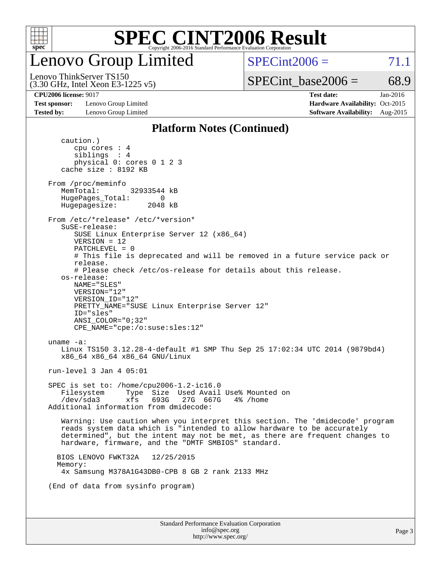

enovo Group Limited

 $SPECint2006 = 71.1$  $SPECint2006 = 71.1$ 

(3.30 GHz, Intel Xeon E3-1225 v5) Lenovo ThinkServer TS150

SPECint base2006 =  $68.9$ 

**[Test sponsor:](http://www.spec.org/auto/cpu2006/Docs/result-fields.html#Testsponsor)** Lenovo Group Limited **[Hardware Availability:](http://www.spec.org/auto/cpu2006/Docs/result-fields.html#HardwareAvailability)** Oct-2015

**[CPU2006 license:](http://www.spec.org/auto/cpu2006/Docs/result-fields.html#CPU2006license)** 9017 **[Test date:](http://www.spec.org/auto/cpu2006/Docs/result-fields.html#Testdate)** Jan-2016 **[Tested by:](http://www.spec.org/auto/cpu2006/Docs/result-fields.html#Testedby)** Lenovo Group Limited **[Software Availability:](http://www.spec.org/auto/cpu2006/Docs/result-fields.html#SoftwareAvailability)** Aug-2015

### **[Platform Notes \(Continued\)](http://www.spec.org/auto/cpu2006/Docs/result-fields.html#PlatformNotes)**

Standard Performance Evaluation Corporation [info@spec.org](mailto:info@spec.org) <http://www.spec.org/> Page 3 caution.) cpu cores : 4 siblings : 4 physical 0: cores 0 1 2 3 cache size : 8192 KB From /proc/meminfo MemTotal: 32933544 kB HugePages\_Total: 0<br>Hugepagesize: 2048 kB Hugepagesize: From /etc/\*release\* /etc/\*version\* SuSE-release: SUSE Linux Enterprise Server 12 (x86\_64) VERSION = 12 PATCHLEVEL = 0 # This file is deprecated and will be removed in a future service pack or release. # Please check /etc/os-release for details about this release. os-release: NAME="SLES" VERSION="12" VERSION\_ID="12" PRETTY\_NAME="SUSE Linux Enterprise Server 12" ID="sles" ANSI\_COLOR="0;32" CPE\_NAME="cpe:/o:suse:sles:12" uname -a: Linux TS150 3.12.28-4-default #1 SMP Thu Sep 25 17:02:34 UTC 2014 (9879bd4) x86\_64 x86\_64 x86\_64 GNU/Linux run-level 3 Jan 4 05:01 SPEC is set to: /home/cpu2006-1.2-ic16.0 Filesystem Type Size Used Avail Use% Mounted on /dev/sda3 xfs 693G 27G 667G 4% /home Additional information from dmidecode: Warning: Use caution when you interpret this section. The 'dmidecode' program reads system data which is "intended to allow hardware to be accurately determined", but the intent may not be met, as there are frequent changes to hardware, firmware, and the "DMTF SMBIOS" standard. BIOS LENOVO FWKT32A 12/25/2015 Memory: 4x Samsung M378A1G43DB0-CPB 8 GB 2 rank 2133 MHz (End of data from sysinfo program)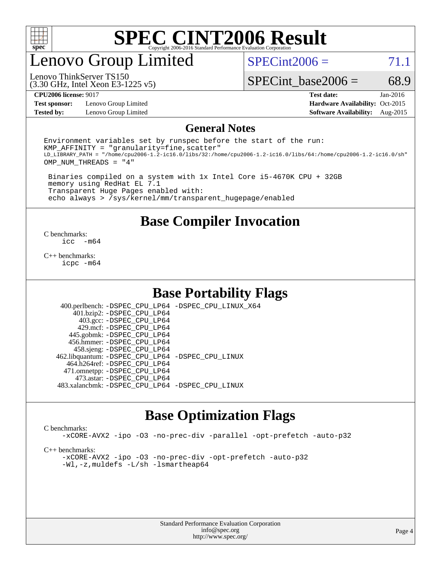

## enovo Group Limited

 $SPECint2006 = 71.1$  $SPECint2006 = 71.1$ 

(3.30 GHz, Intel Xeon E3-1225 v5) Lenovo ThinkServer TS150

SPECint base2006 =  $68.9$ 

**[Test sponsor:](http://www.spec.org/auto/cpu2006/Docs/result-fields.html#Testsponsor)** Lenovo Group Limited **[Hardware Availability:](http://www.spec.org/auto/cpu2006/Docs/result-fields.html#HardwareAvailability)** Oct-2015

**[CPU2006 license:](http://www.spec.org/auto/cpu2006/Docs/result-fields.html#CPU2006license)** 9017 **[Test date:](http://www.spec.org/auto/cpu2006/Docs/result-fields.html#Testdate)** Jan-2016 **[Tested by:](http://www.spec.org/auto/cpu2006/Docs/result-fields.html#Testedby)** Lenovo Group Limited **[Software Availability:](http://www.spec.org/auto/cpu2006/Docs/result-fields.html#SoftwareAvailability)** Aug-2015

### **[General Notes](http://www.spec.org/auto/cpu2006/Docs/result-fields.html#GeneralNotes)**

Environment variables set by runspec before the start of the run:  $KMP$  AFFINITY = "granularity=fine, scatter" LD\_LIBRARY\_PATH = "/home/cpu2006-1.2-ic16.0/libs/32:/home/cpu2006-1.2-ic16.0/libs/64:/home/cpu2006-1.2-ic16.0/sh" OMP\_NUM\_THREADS = "4"

 Binaries compiled on a system with 1x Intel Core i5-4670K CPU + 32GB memory using RedHat EL 7.1 Transparent Huge Pages enabled with: echo always > /sys/kernel/mm/transparent\_hugepage/enabled

**[Base Compiler Invocation](http://www.spec.org/auto/cpu2006/Docs/result-fields.html#BaseCompilerInvocation)**

 $\frac{C \text{ benchmarks:}}{C \text{ C}}$ -m64

[C++ benchmarks:](http://www.spec.org/auto/cpu2006/Docs/result-fields.html#CXXbenchmarks) [icpc -m64](http://www.spec.org/cpu2006/results/res2016q1/cpu2006-20160125-38851.flags.html#user_CXXbase_intel_icpc_64bit_fc66a5337ce925472a5c54ad6a0de310)

## **[Base Portability Flags](http://www.spec.org/auto/cpu2006/Docs/result-fields.html#BasePortabilityFlags)**

 400.perlbench: [-DSPEC\\_CPU\\_LP64](http://www.spec.org/cpu2006/results/res2016q1/cpu2006-20160125-38851.flags.html#b400.perlbench_basePORTABILITY_DSPEC_CPU_LP64) [-DSPEC\\_CPU\\_LINUX\\_X64](http://www.spec.org/cpu2006/results/res2016q1/cpu2006-20160125-38851.flags.html#b400.perlbench_baseCPORTABILITY_DSPEC_CPU_LINUX_X64) 401.bzip2: [-DSPEC\\_CPU\\_LP64](http://www.spec.org/cpu2006/results/res2016q1/cpu2006-20160125-38851.flags.html#suite_basePORTABILITY401_bzip2_DSPEC_CPU_LP64) 403.gcc: [-DSPEC\\_CPU\\_LP64](http://www.spec.org/cpu2006/results/res2016q1/cpu2006-20160125-38851.flags.html#suite_basePORTABILITY403_gcc_DSPEC_CPU_LP64) 429.mcf: [-DSPEC\\_CPU\\_LP64](http://www.spec.org/cpu2006/results/res2016q1/cpu2006-20160125-38851.flags.html#suite_basePORTABILITY429_mcf_DSPEC_CPU_LP64) 445.gobmk: [-DSPEC\\_CPU\\_LP64](http://www.spec.org/cpu2006/results/res2016q1/cpu2006-20160125-38851.flags.html#suite_basePORTABILITY445_gobmk_DSPEC_CPU_LP64) 456.hmmer: [-DSPEC\\_CPU\\_LP64](http://www.spec.org/cpu2006/results/res2016q1/cpu2006-20160125-38851.flags.html#suite_basePORTABILITY456_hmmer_DSPEC_CPU_LP64) 458.sjeng: [-DSPEC\\_CPU\\_LP64](http://www.spec.org/cpu2006/results/res2016q1/cpu2006-20160125-38851.flags.html#suite_basePORTABILITY458_sjeng_DSPEC_CPU_LP64) 462.libquantum: [-DSPEC\\_CPU\\_LP64](http://www.spec.org/cpu2006/results/res2016q1/cpu2006-20160125-38851.flags.html#suite_basePORTABILITY462_libquantum_DSPEC_CPU_LP64) [-DSPEC\\_CPU\\_LINUX](http://www.spec.org/cpu2006/results/res2016q1/cpu2006-20160125-38851.flags.html#b462.libquantum_baseCPORTABILITY_DSPEC_CPU_LINUX) 464.h264ref: [-DSPEC\\_CPU\\_LP64](http://www.spec.org/cpu2006/results/res2016q1/cpu2006-20160125-38851.flags.html#suite_basePORTABILITY464_h264ref_DSPEC_CPU_LP64) 471.omnetpp: [-DSPEC\\_CPU\\_LP64](http://www.spec.org/cpu2006/results/res2016q1/cpu2006-20160125-38851.flags.html#suite_basePORTABILITY471_omnetpp_DSPEC_CPU_LP64) 473.astar: [-DSPEC\\_CPU\\_LP64](http://www.spec.org/cpu2006/results/res2016q1/cpu2006-20160125-38851.flags.html#suite_basePORTABILITY473_astar_DSPEC_CPU_LP64) 483.xalancbmk: [-DSPEC\\_CPU\\_LP64](http://www.spec.org/cpu2006/results/res2016q1/cpu2006-20160125-38851.flags.html#suite_basePORTABILITY483_xalancbmk_DSPEC_CPU_LP64) [-DSPEC\\_CPU\\_LINUX](http://www.spec.org/cpu2006/results/res2016q1/cpu2006-20160125-38851.flags.html#b483.xalancbmk_baseCXXPORTABILITY_DSPEC_CPU_LINUX)

## **[Base Optimization Flags](http://www.spec.org/auto/cpu2006/Docs/result-fields.html#BaseOptimizationFlags)**

### [C benchmarks](http://www.spec.org/auto/cpu2006/Docs/result-fields.html#Cbenchmarks):

[-xCORE-AVX2](http://www.spec.org/cpu2006/results/res2016q1/cpu2006-20160125-38851.flags.html#user_CCbase_f-xAVX2_5f5fc0cbe2c9f62c816d3e45806c70d7) [-ipo](http://www.spec.org/cpu2006/results/res2016q1/cpu2006-20160125-38851.flags.html#user_CCbase_f-ipo) [-O3](http://www.spec.org/cpu2006/results/res2016q1/cpu2006-20160125-38851.flags.html#user_CCbase_f-O3) [-no-prec-div](http://www.spec.org/cpu2006/results/res2016q1/cpu2006-20160125-38851.flags.html#user_CCbase_f-no-prec-div) [-parallel](http://www.spec.org/cpu2006/results/res2016q1/cpu2006-20160125-38851.flags.html#user_CCbase_f-parallel) [-opt-prefetch](http://www.spec.org/cpu2006/results/res2016q1/cpu2006-20160125-38851.flags.html#user_CCbase_f-opt-prefetch) [-auto-p32](http://www.spec.org/cpu2006/results/res2016q1/cpu2006-20160125-38851.flags.html#user_CCbase_f-auto-p32)

[C++ benchmarks:](http://www.spec.org/auto/cpu2006/Docs/result-fields.html#CXXbenchmarks)

[-xCORE-AVX2](http://www.spec.org/cpu2006/results/res2016q1/cpu2006-20160125-38851.flags.html#user_CXXbase_f-xAVX2_5f5fc0cbe2c9f62c816d3e45806c70d7) [-ipo](http://www.spec.org/cpu2006/results/res2016q1/cpu2006-20160125-38851.flags.html#user_CXXbase_f-ipo) [-O3](http://www.spec.org/cpu2006/results/res2016q1/cpu2006-20160125-38851.flags.html#user_CXXbase_f-O3) [-no-prec-div](http://www.spec.org/cpu2006/results/res2016q1/cpu2006-20160125-38851.flags.html#user_CXXbase_f-no-prec-div) [-opt-prefetch](http://www.spec.org/cpu2006/results/res2016q1/cpu2006-20160125-38851.flags.html#user_CXXbase_f-opt-prefetch) [-auto-p32](http://www.spec.org/cpu2006/results/res2016q1/cpu2006-20160125-38851.flags.html#user_CXXbase_f-auto-p32) [-Wl,-z,muldefs](http://www.spec.org/cpu2006/results/res2016q1/cpu2006-20160125-38851.flags.html#user_CXXbase_link_force_multiple1_74079c344b956b9658436fd1b6dd3a8a) [-L/sh -lsmartheap64](http://www.spec.org/cpu2006/results/res2016q1/cpu2006-20160125-38851.flags.html#user_CXXbase_SmartHeap64_ed4ef857ce90951921efb0d91eb88472)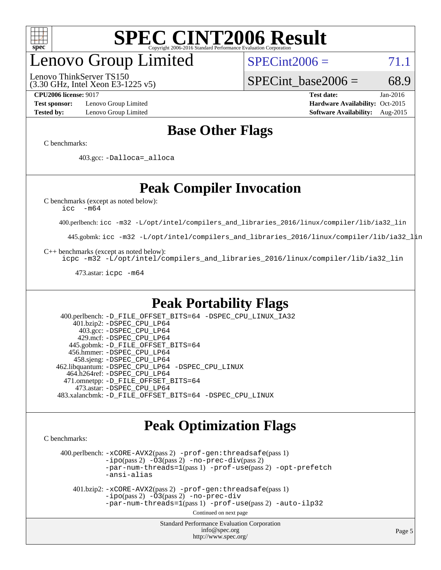

## enovo Group Limited

Lenovo ThinkServer TS150

 $SPECint2006 = 71.1$  $SPECint2006 = 71.1$ 

SPECint base2006 =  $68.9$ 

**[Test sponsor:](http://www.spec.org/auto/cpu2006/Docs/result-fields.html#Testsponsor)** Lenovo Group Limited **[Hardware Availability:](http://www.spec.org/auto/cpu2006/Docs/result-fields.html#HardwareAvailability)** Oct-2015

(3.30 GHz, Intel Xeon E3-1225 v5)

**[CPU2006 license:](http://www.spec.org/auto/cpu2006/Docs/result-fields.html#CPU2006license)** 9017 **[Test date:](http://www.spec.org/auto/cpu2006/Docs/result-fields.html#Testdate)** Jan-2016 **[Tested by:](http://www.spec.org/auto/cpu2006/Docs/result-fields.html#Testedby)** Lenovo Group Limited **[Software Availability:](http://www.spec.org/auto/cpu2006/Docs/result-fields.html#SoftwareAvailability)** Aug-2015

## **[Base Other Flags](http://www.spec.org/auto/cpu2006/Docs/result-fields.html#BaseOtherFlags)**

[C benchmarks](http://www.spec.org/auto/cpu2006/Docs/result-fields.html#Cbenchmarks):

403.gcc: [-Dalloca=\\_alloca](http://www.spec.org/cpu2006/results/res2016q1/cpu2006-20160125-38851.flags.html#b403.gcc_baseEXTRA_CFLAGS_Dalloca_be3056838c12de2578596ca5467af7f3)

## **[Peak Compiler Invocation](http://www.spec.org/auto/cpu2006/Docs/result-fields.html#PeakCompilerInvocation)**

[C benchmarks \(except as noted below\)](http://www.spec.org/auto/cpu2006/Docs/result-fields.html#Cbenchmarksexceptasnotedbelow):

[icc -m64](http://www.spec.org/cpu2006/results/res2016q1/cpu2006-20160125-38851.flags.html#user_CCpeak_intel_icc_64bit_f346026e86af2a669e726fe758c88044)

400.perlbench: [icc -m32 -L/opt/intel/compilers\\_and\\_libraries\\_2016/linux/compiler/lib/ia32\\_lin](http://www.spec.org/cpu2006/results/res2016q1/cpu2006-20160125-38851.flags.html#user_peakCCLD400_perlbench_intel_icc_e10256ba5924b668798078a321b0cb3f)

445.gobmk: [icc -m32 -L/opt/intel/compilers\\_and\\_libraries\\_2016/linux/compiler/lib/ia32\\_lin](http://www.spec.org/cpu2006/results/res2016q1/cpu2006-20160125-38851.flags.html#user_peakCCLD445_gobmk_intel_icc_e10256ba5924b668798078a321b0cb3f)

[C++ benchmarks \(except as noted below\):](http://www.spec.org/auto/cpu2006/Docs/result-fields.html#CXXbenchmarksexceptasnotedbelow)

[icpc -m32 -L/opt/intel/compilers\\_and\\_libraries\\_2016/linux/compiler/lib/ia32\\_lin](http://www.spec.org/cpu2006/results/res2016q1/cpu2006-20160125-38851.flags.html#user_CXXpeak_intel_icpc_b4f50a394bdb4597aa5879c16bc3f5c5)

473.astar: [icpc -m64](http://www.spec.org/cpu2006/results/res2016q1/cpu2006-20160125-38851.flags.html#user_peakCXXLD473_astar_intel_icpc_64bit_fc66a5337ce925472a5c54ad6a0de310)

## **[Peak Portability Flags](http://www.spec.org/auto/cpu2006/Docs/result-fields.html#PeakPortabilityFlags)**

 400.perlbench: [-D\\_FILE\\_OFFSET\\_BITS=64](http://www.spec.org/cpu2006/results/res2016q1/cpu2006-20160125-38851.flags.html#user_peakPORTABILITY400_perlbench_file_offset_bits_64_438cf9856305ebd76870a2c6dc2689ab) [-DSPEC\\_CPU\\_LINUX\\_IA32](http://www.spec.org/cpu2006/results/res2016q1/cpu2006-20160125-38851.flags.html#b400.perlbench_peakCPORTABILITY_DSPEC_CPU_LINUX_IA32) 401.bzip2: [-DSPEC\\_CPU\\_LP64](http://www.spec.org/cpu2006/results/res2016q1/cpu2006-20160125-38851.flags.html#suite_peakPORTABILITY401_bzip2_DSPEC_CPU_LP64) 403.gcc: [-DSPEC\\_CPU\\_LP64](http://www.spec.org/cpu2006/results/res2016q1/cpu2006-20160125-38851.flags.html#suite_peakPORTABILITY403_gcc_DSPEC_CPU_LP64) 429.mcf: [-DSPEC\\_CPU\\_LP64](http://www.spec.org/cpu2006/results/res2016q1/cpu2006-20160125-38851.flags.html#suite_peakPORTABILITY429_mcf_DSPEC_CPU_LP64) 445.gobmk: [-D\\_FILE\\_OFFSET\\_BITS=64](http://www.spec.org/cpu2006/results/res2016q1/cpu2006-20160125-38851.flags.html#user_peakPORTABILITY445_gobmk_file_offset_bits_64_438cf9856305ebd76870a2c6dc2689ab) 456.hmmer: [-DSPEC\\_CPU\\_LP64](http://www.spec.org/cpu2006/results/res2016q1/cpu2006-20160125-38851.flags.html#suite_peakPORTABILITY456_hmmer_DSPEC_CPU_LP64) 458.sjeng: [-DSPEC\\_CPU\\_LP64](http://www.spec.org/cpu2006/results/res2016q1/cpu2006-20160125-38851.flags.html#suite_peakPORTABILITY458_sjeng_DSPEC_CPU_LP64) 462.libquantum: [-DSPEC\\_CPU\\_LP64](http://www.spec.org/cpu2006/results/res2016q1/cpu2006-20160125-38851.flags.html#suite_peakPORTABILITY462_libquantum_DSPEC_CPU_LP64) [-DSPEC\\_CPU\\_LINUX](http://www.spec.org/cpu2006/results/res2016q1/cpu2006-20160125-38851.flags.html#b462.libquantum_peakCPORTABILITY_DSPEC_CPU_LINUX) 464.h264ref: [-DSPEC\\_CPU\\_LP64](http://www.spec.org/cpu2006/results/res2016q1/cpu2006-20160125-38851.flags.html#suite_peakPORTABILITY464_h264ref_DSPEC_CPU_LP64) 471.omnetpp: [-D\\_FILE\\_OFFSET\\_BITS=64](http://www.spec.org/cpu2006/results/res2016q1/cpu2006-20160125-38851.flags.html#user_peakPORTABILITY471_omnetpp_file_offset_bits_64_438cf9856305ebd76870a2c6dc2689ab) 473.astar: [-DSPEC\\_CPU\\_LP64](http://www.spec.org/cpu2006/results/res2016q1/cpu2006-20160125-38851.flags.html#suite_peakPORTABILITY473_astar_DSPEC_CPU_LP64) 483.xalancbmk: [-D\\_FILE\\_OFFSET\\_BITS=64](http://www.spec.org/cpu2006/results/res2016q1/cpu2006-20160125-38851.flags.html#user_peakPORTABILITY483_xalancbmk_file_offset_bits_64_438cf9856305ebd76870a2c6dc2689ab) [-DSPEC\\_CPU\\_LINUX](http://www.spec.org/cpu2006/results/res2016q1/cpu2006-20160125-38851.flags.html#b483.xalancbmk_peakCXXPORTABILITY_DSPEC_CPU_LINUX)

## **[Peak Optimization Flags](http://www.spec.org/auto/cpu2006/Docs/result-fields.html#PeakOptimizationFlags)**

[C benchmarks](http://www.spec.org/auto/cpu2006/Docs/result-fields.html#Cbenchmarks):

 400.perlbench: [-xCORE-AVX2](http://www.spec.org/cpu2006/results/res2016q1/cpu2006-20160125-38851.flags.html#user_peakPASS2_CFLAGSPASS2_LDCFLAGS400_perlbench_f-xAVX2_5f5fc0cbe2c9f62c816d3e45806c70d7)(pass 2) [-prof-gen:threadsafe](http://www.spec.org/cpu2006/results/res2016q1/cpu2006-20160125-38851.flags.html#user_peakPASS1_CFLAGSPASS1_LDCFLAGS400_perlbench_prof_gen_21a26eb79f378b550acd7bec9fe4467a)(pass 1)  $-i\text{po}(pass 2) -\tilde{O}3(pass 2)$  [-no-prec-div](http://www.spec.org/cpu2006/results/res2016q1/cpu2006-20160125-38851.flags.html#user_peakPASS2_CFLAGSPASS2_LDCFLAGS400_perlbench_f-no-prec-div)(pass 2) [-par-num-threads=1](http://www.spec.org/cpu2006/results/res2016q1/cpu2006-20160125-38851.flags.html#user_peakPASS1_CFLAGSPASS1_LDCFLAGS400_perlbench_par_num_threads_786a6ff141b4e9e90432e998842df6c2)(pass 1) [-prof-use](http://www.spec.org/cpu2006/results/res2016q1/cpu2006-20160125-38851.flags.html#user_peakPASS2_CFLAGSPASS2_LDCFLAGS400_perlbench_prof_use_bccf7792157ff70d64e32fe3e1250b55)(pass 2) [-opt-prefetch](http://www.spec.org/cpu2006/results/res2016q1/cpu2006-20160125-38851.flags.html#user_peakCOPTIMIZE400_perlbench_f-opt-prefetch) [-ansi-alias](http://www.spec.org/cpu2006/results/res2016q1/cpu2006-20160125-38851.flags.html#user_peakCOPTIMIZE400_perlbench_f-ansi-alias)

 401.bzip2: [-xCORE-AVX2](http://www.spec.org/cpu2006/results/res2016q1/cpu2006-20160125-38851.flags.html#user_peakPASS2_CFLAGSPASS2_LDCFLAGS401_bzip2_f-xAVX2_5f5fc0cbe2c9f62c816d3e45806c70d7)(pass 2) [-prof-gen:threadsafe](http://www.spec.org/cpu2006/results/res2016q1/cpu2006-20160125-38851.flags.html#user_peakPASS1_CFLAGSPASS1_LDCFLAGS401_bzip2_prof_gen_21a26eb79f378b550acd7bec9fe4467a)(pass 1)  $-i\text{po}(pass 2) -\overline{O}3(pass 2)$  [-no-prec-div](http://www.spec.org/cpu2006/results/res2016q1/cpu2006-20160125-38851.flags.html#user_peakCOPTIMIZEPASS2_CFLAGSPASS2_LDCFLAGS401_bzip2_f-no-prec-div) [-par-num-threads=1](http://www.spec.org/cpu2006/results/res2016q1/cpu2006-20160125-38851.flags.html#user_peakPASS1_CFLAGSPASS1_LDCFLAGS401_bzip2_par_num_threads_786a6ff141b4e9e90432e998842df6c2)(pass 1) [-prof-use](http://www.spec.org/cpu2006/results/res2016q1/cpu2006-20160125-38851.flags.html#user_peakPASS2_CFLAGSPASS2_LDCFLAGS401_bzip2_prof_use_bccf7792157ff70d64e32fe3e1250b55)(pass 2) [-auto-ilp32](http://www.spec.org/cpu2006/results/res2016q1/cpu2006-20160125-38851.flags.html#user_peakCOPTIMIZE401_bzip2_f-auto-ilp32)

Continued on next page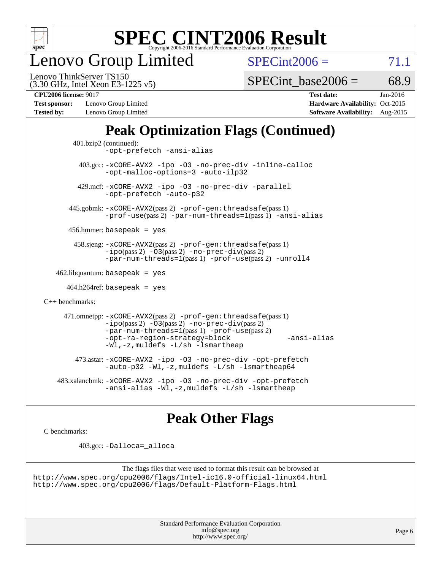

enovo Group Limited

 $SPECint2006 = 71.1$  $SPECint2006 = 71.1$ 

(3.30 GHz, Intel Xeon E3-1225 v5) Lenovo ThinkServer TS150

SPECint base2006 =  $68.9$ 

**[Test sponsor:](http://www.spec.org/auto/cpu2006/Docs/result-fields.html#Testsponsor)** Lenovo Group Limited **[Hardware Availability:](http://www.spec.org/auto/cpu2006/Docs/result-fields.html#HardwareAvailability)** Oct-2015

**[CPU2006 license:](http://www.spec.org/auto/cpu2006/Docs/result-fields.html#CPU2006license)** 9017 **[Test date:](http://www.spec.org/auto/cpu2006/Docs/result-fields.html#Testdate)** Jan-2016 **[Tested by:](http://www.spec.org/auto/cpu2006/Docs/result-fields.html#Testedby)** Lenovo Group Limited **[Software Availability:](http://www.spec.org/auto/cpu2006/Docs/result-fields.html#SoftwareAvailability)** Aug-2015

## **[Peak Optimization Flags \(Continued\)](http://www.spec.org/auto/cpu2006/Docs/result-fields.html#PeakOptimizationFlags)**

```
 401.bzip2 (continued):
                -opt-prefetch -ansi-alias
          403.gcc: -xCORE-AVX2 -ipo -O3 -no-prec-div -inline-calloc
                -opt-malloc-options=3 -auto-ilp32
         429.mcf: -xCORE-AVX2 -ipo -O3 -no-prec-div -parallel
                -opt-prefetch -auto-p32
       445.gobmk: -xCORE-AVX2(pass 2) -prof-gen:threadsafe(pass 1)
                -prof-use(pass 2) -par-num-threads=1(pass 1) -ansi-alias
       456.hmmer: basepeak = yes
        458.sjeng: -xCORE-AVX2(pass 2) -prof-gen:threadsafe(pass 1)
                -i\text{po}(pass 2) -\tilde{O}3(pass 2)-no-prec-div(pass 2)
                -par-num-threads=1(pass 1) -prof-use(pass 2) -unroll4
   462.libquantum: basepeak = yes
     464.h264ref: basepeak = yes
C++ benchmarks: 
      471.omnetpp: -xCORE-AVX2(pass 2) -prof-gen:threadsafe(pass 1)
                -i\text{po}(pass 2) -\overline{O}3(pass 2) -no-\overline{prec}\-div(pass 2)-par-num-threads=1(pass 1) -prof-use(pass 2)
                -opt-ra-region-strategy=block -ansi-alias
                -Wl,-z,muldefs -L/sh -lsmartheap
         473.astar: -xCORE-AVX2 -ipo -O3 -no-prec-div -opt-prefetch
                -auto-p32 -Wl,-z,muldefs -L/sh -lsmartheap64
    483.xalancbmk: -xCORE-AVX2 -ipo -O3 -no-prec-div -opt-prefetch
                -ansi-alias -Wl,-z,muldefs -L/sh -lsmartheap
```
## **[Peak Other Flags](http://www.spec.org/auto/cpu2006/Docs/result-fields.html#PeakOtherFlags)**

[C benchmarks](http://www.spec.org/auto/cpu2006/Docs/result-fields.html#Cbenchmarks):

403.gcc: [-Dalloca=\\_alloca](http://www.spec.org/cpu2006/results/res2016q1/cpu2006-20160125-38851.flags.html#b403.gcc_peakEXTRA_CFLAGS_Dalloca_be3056838c12de2578596ca5467af7f3)

```
The flags files that were used to format this result can be browsed at
http://www.spec.org/cpu2006/flags/Intel-ic16.0-official-linux64.html
http://www.spec.org/cpu2006/flags/Default-Platform-Flags.html
```